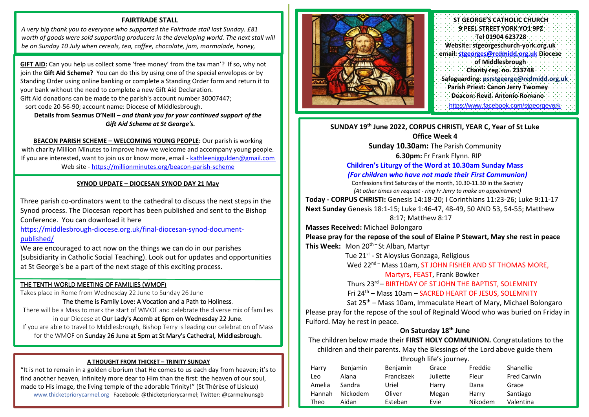# **FAIRTRADE STALL**

*A very big thank you to everyone who supported the Fairtrade stall last Sunday. £81*  worth of goods were sold supporting producers in the developing world. The next stall will *be on Sunday 10 July when cereals, tea, coffee, chocolate, jam, marmalade, honey,* 

**GIFT AID:** Can you help us collect some 'free money' from the tax man'? If so, why not join the **Gift Aid Scheme?** You can do this by using one of the special envelopes or by Standing Order using online banking or complete a Standing Order form and return it to your bank without the need to complete a new Gift Aid Declaration. Gift Aid donations can be made to the parish's account number 30007447; sort code 20-56-90; account name: Diocese of Middlesbrough.

*biscuits and other products will be on sale. Many thanks, Frances & Dennis*

**Details from Seamus O'Neill –** *and thank you for your continued support of the Gift Aid Scheme at St George's.*

**BEACON PARISH SCHEME – WELCOMING YOUNG PEOPLE:** Our parish is working with charity Million Minutes to improve how we welcome and accompany young people. If you are interested, want to join us or know more, email - [kathleeniggulden@gmail.com](mailto:kathleeniggulden@gmail.com) Web site - <https://millionminutes.org/beacon-parish-scheme>

## **SYNOD UPDATE – DIOCESAN SYNOD DAY 21 May**

Three parish co-ordinators went to the cathedral to discuss the next steps in the Synod process. The Diocesan report has been published and sent to the Bishop Conference. You can download it here

[https://middlesbrough-diocese.org.uk/final-diocesan-synod-document](https://middlesbrough-diocese.org.uk/final-diocesan-synod-document-published/)[published/](https://middlesbrough-diocese.org.uk/final-diocesan-synod-document-published/)

We are encouraged to act now on the things we can do in our parishes (subsidiarity in Catholic Social Teaching). Look out for updates and opportunities at St George's be a part of the next stage of this exciting process.

֦

## THE TENTH WORLD MEETING OF FAMILIES (WMOF)

Takes place in Rome from Wednesday 22 June to Sunday 26 June

The theme is Family Love: A Vocation and a Path to Holiness. There will be a Mass to mark the start of WMOF and celebrate the diverse mix of families in our Diocese at Our Lady's Acomb at 6pm on Wednesday 22 June. If you are able to travel to Middlesbrough, Bishop Terry is leading our celebration of Mass for the WMOF on Sunday 26 June at 5pm at St Mary's Cathedral, Middlesbrough.

## **A THOUGHT FROM THICKET – TRINITY SUNDAY**

"It is not to remain in a golden ciborium that He comes to us each day from heaven; it's to find another heaven, infinitely more dear to Him than the first: the heaven of our soul, made to His image, the living temple of the adorable Trinity!" (St Thérèse of Lisieux) [www.thicketpriorycarmel.org](http://www.thicketpriorycarmel.org/) Facebook: @thicketpriorycarmel; Twitter: @carmelnunsgb



**ST GEORGE'S CATHOLIC CHURCH 9 PEEL STREET YORK YO1 9PZ Tel 01904 623728 Website: stgeorgeschurch-york.org.uk email: [stgeorges@rcdmidd.org.uk](mailto:stgeorges@rcdmidd.org.uk) Diocese of Middlesbrough Charity reg. no. 233748 Safeguarding: [psrstgeorge@rcdmidd.org.uk](mailto:psrstgeorge@rcdmidd.org.uk) Parish Priest: Canon Jerry Twomey Deacon: Revd. Antonio Romano** https://www.facebook.com/stgeorge

**SUNDAY 19th June 2022, CORPUS CHRISTI, YEAR C, Year of St Luke Office Week 4**

> **Sunday 10.30am:** The Parish Community **6.30pm:** Fr Frank Flynn. RIP

## **Children's Liturgy of the Word at 10.30am Sunday Mass**

*(For children who have not made their First Communion)*

Confessions first Saturday of the month, 10.30-11.30 in the Sacristy *(At other times on request - ring Fr Jerry to make an appointment)* **Today - CORPUS CHRISTI:** Genesis 14:18-20; I Corinthians 11:23-26; Luke 9:11-17 **Next Sunday** Genesis 18:1-15; Luke 1:46-47, 48-49, 50 AND 53, 54-55; Matthew 8:17; Matthew 8:17

**Masses Received:** Michael Bolongaro

**Please pray for the repose of the soul of Elaine P Stewart, May she rest in peace This Week:** Mon 20th – St Alban, Martyr

Tue 21<sup>st</sup> - St Aloysius Gonzaga, Religious

Wed 22<sup>nd –</sup> Mass 10am, ST JOHN FISHER AND ST THOMAS MORE, Martyrs, FEAST, Frank Bowker

Thurs 23rd – BIRTHDAY OF ST JOHN THE BAPTIST, SOLEMNITY

Fri 24th – Mass 10am – SACRED HEART OF JESUS, SOLEMNITY

Sat 25<sup>th</sup> – Mass 10am, Immaculate Heart of Mary, Michael Bolongaro Please pray for the repose of the soul of Reginald Wood who was buried on Friday in Fulford. May he rest in peace.

## **On Saturday 18th June**

The children below made their **FIRST HOLY COMMUNION.** Congratulations to the children and their parents. May the Blessings of the Lord above guide them through life's journey.

| Harry  | <b>Benjamin</b> | <b>Benjamin</b> | Grace    | Freddie | Shanellie          |
|--------|-----------------|-----------------|----------|---------|--------------------|
| Leo    | Alana           | Franciszek      | Juliette | Fleur   | <b>Fred Carwin</b> |
| Amelia | Sandra          | Uriel           | Harry    | Dana    | Grace              |
| Hannah | Nickodem        | Oliver          | Megan    | Harry   | Santiago           |
| Theo   | Aidan           | Esteban         | Evie     | Nikodem | Valentina          |

Sen Geona Jonah Gustavo David Kaidan Emilia